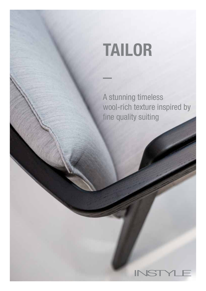# TAILOR

A stunning timeless wool-rich texture inspired by fine quality suiting

# $\mathbf{r}$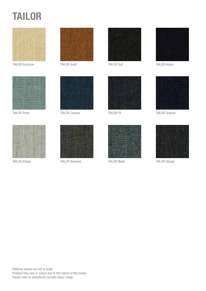# TAILOR



TAILOR Exclusive TAILOR Guild









TAILOR Trend TAILOR Couture



TAILOR Artisan TAILOR Bespoke TAILOR Made TAILOR Deluxe



TAILOR Suit







TAILOR Vogue



TAILOR Fit
TAILOR Fit
TAILOR Original